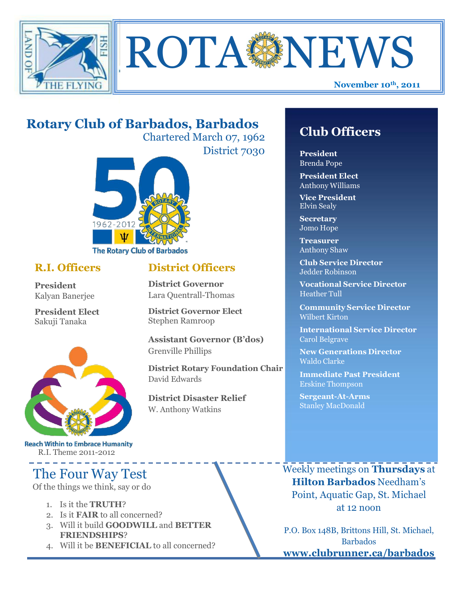



# **Rotary Club of Barbados, Barbados**

Chartered March 07, 1962

**District Governor** Lara Quentrall-Thomas

Stephen Ramroop

Grenville Phillips

David Edwards

**District Governor Elect**

**District Disaster Relief**

W. Anthony Watkins

**Assistant Governor (B'dos)**

**District Rotary Foundation Chair**

District 7030



**President** Kalyan Banerjee

**President Elect** Sakuji Tanaka



**Reach Within to Embrace Humanity** R.I. Theme 2011-2012

# The Four Way Test

Of the things we think, say or do

- 1. Is it the **TRUTH**?
- 2. Is it **FAIR** to all concerned?
- 3. Will it build **GOODWILL** and **BETTER FRIENDSHIPS**?
- 4. Will it be **BENEFICIAL** to all concerned?

## **Club Officers**

**President** Brenda Pope

**President Elect** Anthony Williams

**Vice President** Elvin Sealy

**Secretary** Jomo Hope

**Treasurer** Anthony Shaw

**R.I. Officers District Officers Club** Service Director Jedder Robinson

> **Vocational Service Director** Heather Tull

**Community Service Director** Wilbert Kirton

**International Service Director** Carol Belgrave

**New Generations Director** Waldo Clarke

**Immediate Past President** Erskine Thompson

**Sergeant-At-Arms** Stanley MacDonald

Weekly meetings on **Thursdays** at **Hilton Barbados** Needham's Point, Aquatic Gap, St. Michael at 12 noon

P.O. Box 148B, Brittons Hill, St. Michael, Barbados **[www.clubrunner.ca/barbados](http://www.clubrunner.ca/barbados)**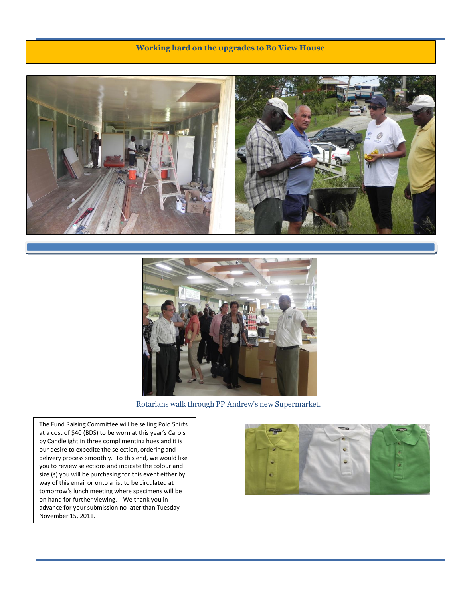#### **Working hard on the upgrades to Bo View House**





Rotarians walk through PP Andrew's new Supermarket.

The Fund Raising Committee will be selling Polo Shirts at a cost of \$40 (BDS) to be worn at this year's Carols by Candlelight in three complimenting hues and it is our desire to expedite the selection, ordering and delivery process smoothly. To this end, we would like you to review selections and indicate the colour and size (s) you will be purchasing for this event either by way of this email or onto a list to be circulated at tomorrow's lunch meeting where specimens will be on hand for further viewing. We thank you in advance for your submission no later than Tuesday November 15, 2011.

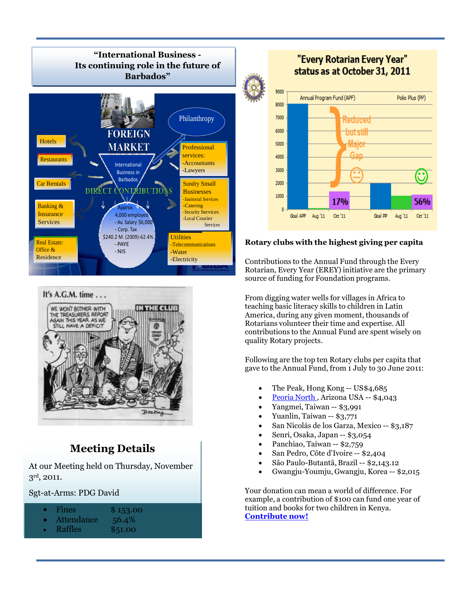

#### It's A.G.M. time . . .



### **Meeting Details**

At our Meeting held on Thursday, November  $3^{\rm rd}$ , 2011.

Sgt-at-Arms: PDG David

- Fines \$153.00
- Attendance 56.4%
- Raffles \$51.00

### "Every Rotarian Every Year" status as at October 31, 2011



#### **Rotary clubs with the highest giving per capita**

Contributions to the Annual Fund through the Every Rotarian, Every Year (EREY) initiative are the primary source of funding for Foundation programs.

From digging water wells for villages in Africa to teaching basic literacy skills to children in Latin America, during any given moment, thousands of Rotarians volunteer their time and expertise. All contributions to the Annual Fund are spent wisely on quality Rotary projects.

Following are the top ten Rotary clubs per capita that gave to the Annual Fund, from 1 July to 30 June 2011:

- The Peak, Hong Kong -- US\$4,685
- [Peoria](http://www.peorianorthrotary.net/) North , Arizona USA -- \$4,043
- Yangmei, Taiwan -- \$3,991
- Yuanlin, Taiwan -- \$3,771
- San Nicolás de los Garza, Mexico -- \$3,187
- Senri, Osaka, Japan -- \$3,054
- Panchiao, Taiwan -- \$2,759
- San Pedro, Côte d'Ivoire -- \$2,404
- São Paulo-Butantã, Brazil -- \$2,143.12
- Gwangju-Youmju, Gwangju, Korea -- \$2,015

Your donation can mean a world of difference. For example, a contribution of \$100 can fund one year of tuition and books for two children in Kenya. **Contribute now!**